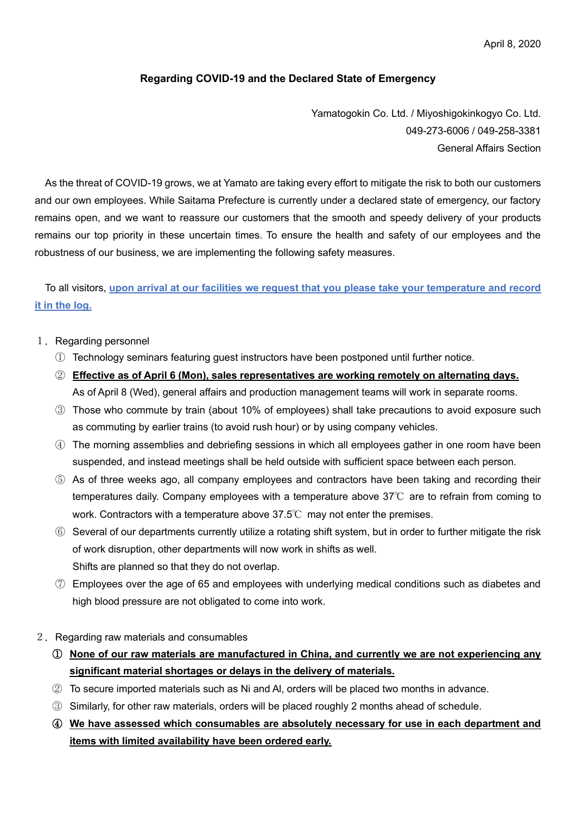April 8, 2020

## **Regarding COVID-19 and the Declared State of Emergency**

Yamatogokin Co. Ltd. / Miyoshigokinkogyo Co. Ltd. 049-273-6006 / 049-258-3381 General Affairs Section

As the threat of COVID-19 grows, we at Yamato are taking every effort to mitigate the risk to both our customers and our own employees. While Saitama Prefecture is currently under a declared state of emergency, our factory remains open, and we want to reassure our customers that the smooth and speedy delivery of your products remains our top priority in these uncertain times. To ensure the health and safety of our employees and the robustness of our business, we are implementing the following safety measures.

To all visitors, **upon arrival at our facilities we request that you please take your temperature and record it in the log.**

- 1.Regarding personnel
	- ① Technology seminars featuring guest instructors have been postponed until further notice.
	- ② **Effective as of April 6 (Mon), sales representatives are working remotely on alternating days.** As of April 8 (Wed), general affairs and production management teams will work in separate rooms.
	- ③ Those who commute by train (about 10% of employees) shall take precautions to avoid exposure such as commuting by earlier trains (to avoid rush hour) or by using company vehicles.
	- ④ The morning assemblies and debriefing sessions in which all employees gather in one room have been suspended, and instead meetings shall be held outside with sufficient space between each person.
	- ⑤ As of three weeks ago, all company employees and contractors have been taking and recording their temperatures daily. Company employees with a temperature above  $37^{\circ}$  are to refrain from coming to work. Contractors with a temperature above 37.5℃ may not enter the premises.
	- ⑥ Several of our departments currently utilize a rotating shift system, but in order to further mitigate the risk of work disruption, other departments will now work in shifts as well. Shifts are planned so that they do not overlap.
	- ⑦ Employees over the age of 65 and employees with underlying medical conditions such as diabetes and high blood pressure are not obligated to come into work.
- 2.Regarding raw materials and consumables
	- ① **None of our raw materials are manufactured in China, and currently we are not experiencing any significant material shortages or delays in the delivery of materials.**
	- ② To secure imported materials such as Ni and Al, orders will be placed two months in advance.
	- ③ Similarly, for other raw materials, orders will be placed roughly 2 months ahead of schedule.
	- ④ **We have assessed which consumables are absolutely necessary for use in each department and items with limited availability have been ordered early.**